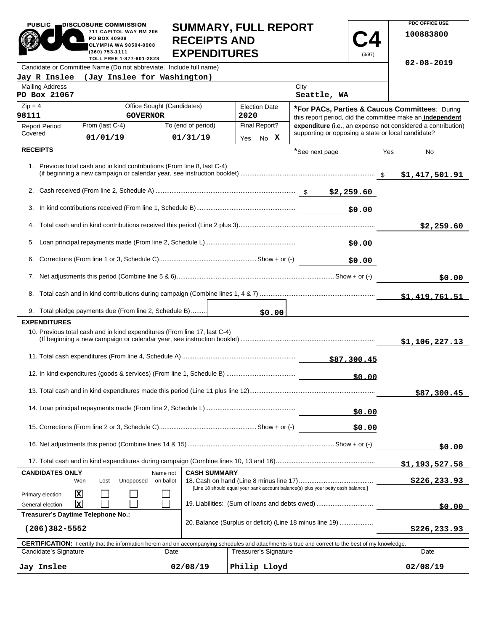| <b>PUBLIC</b>                                           | DISCLOSURE COMMISSION          |                                                                                                |                                            | <b>SUMMARY, FULL REPORT</b>  |                                                                                                                                                            |        | PDC OFFICE USE                                                                                              |  |
|---------------------------------------------------------|--------------------------------|------------------------------------------------------------------------------------------------|--------------------------------------------|------------------------------|------------------------------------------------------------------------------------------------------------------------------------------------------------|--------|-------------------------------------------------------------------------------------------------------------|--|
|                                                         | PO BOX 40908<br>(360) 753-1111 | 711 CAPITOL WAY RM 206<br><b>OLYMPIA WA 98504-0908</b>                                         | <b>RECEIPTS AND</b><br><b>EXPENDITURES</b> |                              |                                                                                                                                                            | (3/97) | 100883800                                                                                                   |  |
|                                                         |                                | TOLL FREE 1-877-601-2828<br>Candidate or Committee Name (Do not abbreviate. Include full name) |                                            |                              |                                                                                                                                                            |        | $02 - 08 - 2019$                                                                                            |  |
| Jay R Inslee                                            |                                | (Jay Inslee for Washington)                                                                    |                                            |                              |                                                                                                                                                            |        |                                                                                                             |  |
| <b>Mailing Address</b><br>PO Box 21067                  |                                |                                                                                                |                                            |                              | City<br>Seattle, WA                                                                                                                                        |        |                                                                                                             |  |
| $Zip + 4$<br>98111                                      |                                | Office Sought (Candidates)<br><b>GOVERNOR</b>                                                  |                                            | <b>Election Date</b><br>2020 |                                                                                                                                                            |        | *For PACs, Parties & Caucus Committees: During<br>this report period, did the committee make an independent |  |
| <b>Report Period</b>                                    | From (last C-4)                |                                                                                                | To (end of period)                         | Final Report?                |                                                                                                                                                            |        | expenditure (i.e., an expense not considered a contribution)                                                |  |
| Covered                                                 | 01/01/19                       |                                                                                                | 01/31/19                                   | Yes No X                     | supporting or opposing a state or local candidate?                                                                                                         |        |                                                                                                             |  |
| <b>RECEIPTS</b>                                         |                                |                                                                                                |                                            |                              | *See next page                                                                                                                                             |        | Yes<br>No                                                                                                   |  |
|                                                         |                                | 1. Previous total cash and in kind contributions (From line 8, last C-4)                       |                                            |                              |                                                                                                                                                            |        |                                                                                                             |  |
|                                                         |                                |                                                                                                |                                            |                              |                                                                                                                                                            |        |                                                                                                             |  |
|                                                         |                                |                                                                                                |                                            |                              |                                                                                                                                                            | \$0.00 |                                                                                                             |  |
|                                                         |                                |                                                                                                |                                            |                              |                                                                                                                                                            |        | \$2,259.60                                                                                                  |  |
|                                                         |                                |                                                                                                |                                            |                              |                                                                                                                                                            |        |                                                                                                             |  |
|                                                         |                                |                                                                                                |                                            |                              |                                                                                                                                                            | \$0.00 |                                                                                                             |  |
|                                                         |                                |                                                                                                |                                            |                              |                                                                                                                                                            |        | \$0.00                                                                                                      |  |
|                                                         |                                |                                                                                                |                                            |                              |                                                                                                                                                            |        |                                                                                                             |  |
|                                                         |                                | 9. Total pledge payments due (From line 2, Schedule B)                                         |                                            | \$0.00                       |                                                                                                                                                            |        |                                                                                                             |  |
| <b>EXPENDITURES</b>                                     |                                |                                                                                                |                                            |                              |                                                                                                                                                            |        |                                                                                                             |  |
|                                                         |                                | 10. Previous total cash and in kind expenditures (From line 17, last C-4)                      |                                            |                              |                                                                                                                                                            |        | \$1,106,227.13                                                                                              |  |
|                                                         |                                |                                                                                                |                                            |                              |                                                                                                                                                            |        |                                                                                                             |  |
|                                                         |                                |                                                                                                |                                            |                              |                                                                                                                                                            | \$0.00 |                                                                                                             |  |
|                                                         |                                |                                                                                                |                                            |                              |                                                                                                                                                            |        | \$87,300.45                                                                                                 |  |
|                                                         |                                |                                                                                                |                                            |                              |                                                                                                                                                            | \$0.00 |                                                                                                             |  |
|                                                         |                                |                                                                                                |                                            |                              |                                                                                                                                                            | \$0.00 |                                                                                                             |  |
|                                                         |                                |                                                                                                |                                            |                              |                                                                                                                                                            |        | \$0.00                                                                                                      |  |
|                                                         |                                |                                                                                                |                                            |                              |                                                                                                                                                            |        | <u>\$1,193,527.58</u>                                                                                       |  |
| <b>CANDIDATES ONLY</b>                                  | Won<br>Lost                    | Name not<br>Unopposed<br>on ballot                                                             | <b>CASH SUMMARY</b>                        |                              |                                                                                                                                                            |        | \$226, 233.93                                                                                               |  |
| Primary election<br>General election                    | $\vert x \vert$<br><u>lx</u>   |                                                                                                |                                            |                              | [Line 18 should equal your bank account balance(s) plus your petty cash balance.]<br>19. Liabilities: (Sum of loans and debts owed)                        |        | \$0.00                                                                                                      |  |
| Treasurer's Daytime Telephone No.:<br>$(206)382 - 5552$ |                                |                                                                                                |                                            |                              | 20. Balance (Surplus or deficit) (Line 18 minus line 19)                                                                                                   |        | \$226, 233.93                                                                                               |  |
|                                                         |                                |                                                                                                |                                            |                              |                                                                                                                                                            |        |                                                                                                             |  |
| Candidate's Signature                                   |                                | Date                                                                                           |                                            | Treasurer's Signature        | <b>CERTIFICATION:</b> I certify that the information herein and on accompanying schedules and attachments is true and correct to the best of my knowledge. |        | Date                                                                                                        |  |
| Jay Inslee                                              |                                |                                                                                                | 02/08/19                                   | Philip Lloyd                 |                                                                                                                                                            |        | 02/08/19                                                                                                    |  |

**PDC OFFICE USE**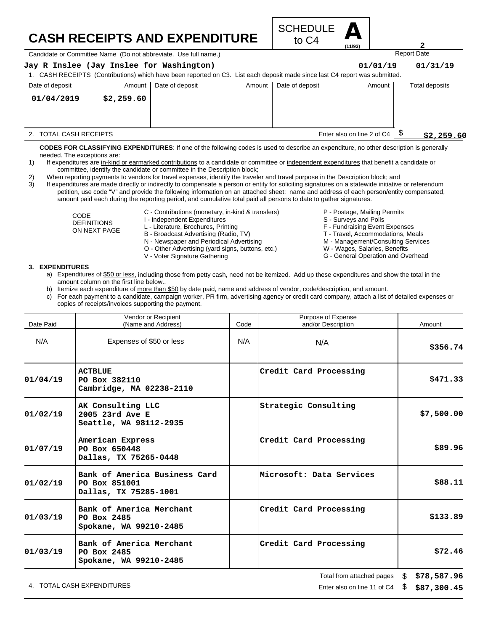## **CASH RECEIPTS AND EXPENDITURE**



Candidate or Committee Name (Do not abbreviate. Use full name.)

| Jay R Inslee (Jay Inslee for Washington) |            |                                                                                                                             |        |                 | 01/01/19                   | 01/31/19       |
|------------------------------------------|------------|-----------------------------------------------------------------------------------------------------------------------------|--------|-----------------|----------------------------|----------------|
|                                          |            | 1. CASH RECEIPTS (Contributions) which have been reported on C3. List each deposit made since last C4 report was submitted. |        |                 |                            |                |
| Date of deposit                          | Amount     | Date of deposit                                                                                                             | Amount | Date of deposit | Amount                     | Total deposits |
| 01/04/2019                               | \$2,259.60 |                                                                                                                             |        |                 |                            |                |
|                                          |            |                                                                                                                             |        |                 |                            |                |
| 2. TOTAL CASH RECEIPTS                   |            |                                                                                                                             |        |                 | Enter also on line 2 of C4 | \$2,259.60     |

**CODES FOR CLASSIFYING EXPENDITURES**: If one of the following codes is used to describe an expenditure, no other description is generally needed. The exceptions are:

- 1) If expenditures are in-kind or earmarked contributions to a candidate or committee or independent expenditures that benefit a candidate or committee, identify the candidate or committee in the Description block;
- 2) When reporting payments to vendors for travel expenses, identify the traveler and travel purpose in the Description block; and

3) If expenditures are made directly or indirectly to compensate a person or entity for soliciting signatures on a statewide initiative or referendum petition, use code "V" and provide the following information on an attached sheet: name and address of each person/entity compensated, amount paid each during the reporting period, and cumulative total paid all persons to date to gather signatures.

> CODE DEFINITIONS ON NEXT PAGE

- C Contributions (monetary, in-kind & transfers)
- I Independent Expenditures
- L Literature, Brochures, Printing
- B Broadcast Advertising (Radio, TV)
- N Newspaper and Periodical Advertising
- O Other Advertising (yard signs, buttons, etc.)
- V Voter Signature Gathering
- P Postage, Mailing Permits
- S Surveys and Polls
- F Fundraising Event Expenses
- T Travel, Accommodations, Meals
- M Management/Consulting Services

Report Date

**2**

- W Wages, Salaries, Benefits
- G General Operation and Overhead

#### **3. EXPENDITURES**

- a) Expenditures of \$50 or less, including those from petty cash, need not be itemized. Add up these expenditures and show the total in the amount column on the first line below..
- b) Itemize each expenditure of more than \$50 by date paid, name and address of vendor, code/description, and amount.
- c) For each payment to a candidate, campaign worker, PR firm, advertising agency or credit card company, attach a list of detailed expenses or copies of receipts/invoices supporting the payment.

| Date Paid | Vendor or Recipient<br>(Name and Address)                               | Code | Purpose of Expense<br>and/or Description | Amount             |
|-----------|-------------------------------------------------------------------------|------|------------------------------------------|--------------------|
| N/A       | Expenses of \$50 or less                                                | N/A  | N/A                                      | \$356.74           |
| 01/04/19  | <b>ACTBLUE</b><br>PO Box 382110<br>Cambridge, MA 02238-2110             |      | Credit Card Processing                   | \$471.33           |
| 01/02/19  | AK Consulting LLC<br>2005 23rd Ave E<br>Seattle, WA 98112-2935          |      | Strategic Consulting                     | \$7,500.00         |
| 01/07/19  | American Express<br>PO Box 650448<br>Dallas, TX 75265-0448              |      | Credit Card Processing                   | \$89.96            |
| 01/02/19  | Bank of America Business Card<br>PO Box 851001<br>Dallas, TX 75285-1001 |      | Microsoft: Data Services                 | \$88.11            |
| 01/03/19  | Bank of America Merchant<br>PO Box 2485<br>Spokane, WA 99210-2485       |      | Credit Card Processing                   | \$133.89           |
| 01/03/19  | Bank of America Merchant<br>PO Box 2485<br>Spokane, WA 99210-2485       |      | Credit Card Processing                   | \$72.46            |
|           |                                                                         |      | Total from attached pages                | \$.<br>\$78,587.96 |

4. TOTAL CASH EXPENDITURES **Example 20 and Secure 20 and Secure 20 and Secure 20 and Secure 20 and Secure 20 and Secure 20 and Secure 20 and Secure 20 and Secure 20 and Secure 20 and Secure 20 and Secure 20 and Secure 20 a**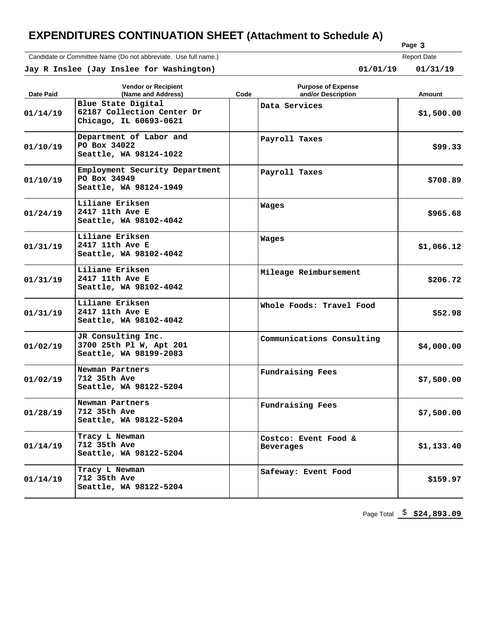## **EXPENDITURES CONTINUATION SHEET (Attachment to Schedule A)**

Candidate or Committee Name (Do not abbreviate. Use full name.)

```
Page 
3
```
**Jay R Inslee (Jay Inslee for Washington) 01/01/19 01/31/19**

Report Date  $01/31/19$ 

| Date Paid | <b>Vendor or Recipient</b><br>(Name and Address)                           | Code | <b>Purpose of Expense</b><br>and/or Description | Amount     |
|-----------|----------------------------------------------------------------------------|------|-------------------------------------------------|------------|
| 01/14/19  | Blue State Digital<br>62187 Collection Center Dr<br>Chicago, IL 60693-0621 |      | Data Services                                   | \$1,500.00 |
| 01/10/19  | Department of Labor and<br>PO Box 34022<br>Seattle, WA 98124-1022          |      | Payroll Taxes                                   | \$99.33    |
| 01/10/19  | Employment Security Department<br>PO Box 34949<br>Seattle, WA 98124-1949   |      | Payroll Taxes                                   | \$708.89   |
| 01/24/19  | Liliane Eriksen<br>2417 11th Ave E<br>Seattle, WA 98102-4042               |      | Wages                                           | \$965.68   |
| 01/31/19  | Liliane Eriksen<br>2417 11th Ave E<br>Seattle, WA 98102-4042               |      | Wages                                           | \$1,066.12 |
| 01/31/19  | Liliane Eriksen<br>2417 11th Ave E<br>Seattle, WA 98102-4042               |      | Mileage Reimbursement                           | \$206.72   |
| 01/31/19  | Liliane Eriksen<br>2417 11th Ave E<br>Seattle, WA 98102-4042               |      | Whole Foods: Travel Food                        | \$52.98    |
| 01/02/19  | JR Consulting Inc.<br>3700 25th Pl W, Apt 201<br>Seattle, WA 98199-2083    |      | Communications Consulting                       | \$4,000.00 |
| 01/02/19  | Newman Partners<br>712 35th Ave<br>Seattle, WA 98122-5204                  |      | Fundraising Fees                                | \$7,500.00 |
| 01/28/19  | Newman Partners<br>712 35th Ave<br>Seattle, WA 98122-5204                  |      | Fundraising Fees                                | \$7,500.00 |
| 01/14/19  | Tracy L Newman<br>712 35th Ave<br>Seattle, WA 98122-5204                   |      | Costco: Event Food &<br>Beverages               | \$1,133.40 |
| 01/14/19  | Tracy L Newman<br>712 35th Ave<br>Seattle, WA 98122-5204                   |      | Safeway: Event Food                             | \$159.97   |

Page Total \$ **\$24,893.09**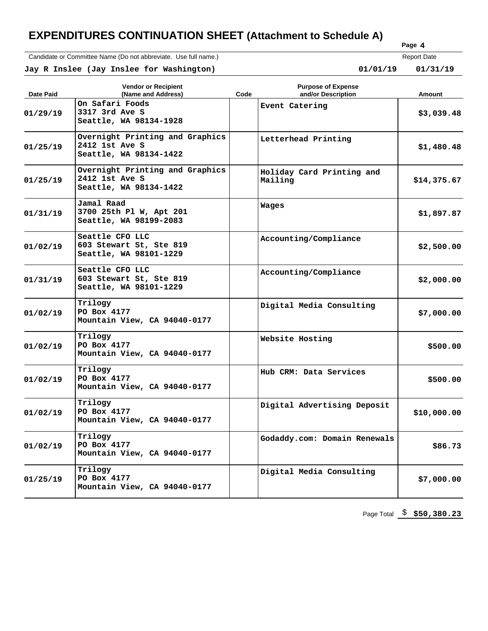# **EXPENDITURES CONTINUATION SHEET (Attachment to Schedule A)**

Candidate or Committee Name (Do not abbreviate. Use full name.)

```
Page 
4
```

| Report Date |
|-------------|
|             |

| Jay R Inslee (Jay Inslee for Washington) |                                                                             |      | 01/01/19                                        | 01/31/19    |
|------------------------------------------|-----------------------------------------------------------------------------|------|-------------------------------------------------|-------------|
| <b>Date Paid</b>                         | <b>Vendor or Recipient</b><br>(Name and Address)                            | Code | <b>Purpose of Expense</b><br>and/or Description | Amount      |
| 01/29/19                                 | On Safari Foods<br>3317 3rd Ave S<br>Seattle, WA 98134-1928                 |      | Event Catering                                  | \$3,039.48  |
| 01/25/19                                 | Overnight Printing and Graphics<br>2412 1st Ave S<br>Seattle, WA 98134-1422 |      | Letterhead Printing                             | \$1,480.48  |
| 01/25/19                                 | Overnight Printing and Graphics<br>2412 1st Ave S<br>Seattle, WA 98134-1422 |      | Holiday Card Printing and<br>Mailing            | \$14,375.67 |
| 01/31/19                                 | Jamal Raad<br>3700 25th Pl W, Apt 201<br>Seattle, WA 98199-2083             |      | Wages                                           | \$1,897.87  |
| 01/02/19                                 | Seattle CFO LLC<br>603 Stewart St, Ste 819<br>Seattle, WA 98101-1229        |      | Accounting/Compliance                           | \$2,500.00  |
| 01/31/19                                 | Seattle CFO LLC<br>603 Stewart St, Ste 819<br>Seattle, WA 98101-1229        |      | Accounting/Compliance                           | \$2,000.00  |
| 01/02/19                                 | Trilogy<br>PO Box 4177<br>Mountain View, CA 94040-0177                      |      | Digital Media Consulting                        | \$7,000.00  |
| 01/02/19                                 | Trilogy<br>PO Box 4177<br>Mountain View, CA 94040-0177                      |      | Website Hosting                                 | \$500.00    |
| 01/02/19                                 | Trilogy<br>PO Box 4177<br>Mountain View, CA 94040-0177                      |      | Hub CRM: Data Services                          | \$500.00    |
| 01/02/19                                 | Trilogy<br>PO Box 4177<br>Mountain View, CA 94040-0177                      |      | Digital Advertising Deposit                     | \$10,000.00 |
| 01/02/19                                 | Trilogy<br>PO Box 4177<br>Mountain View, CA 94040-0177                      |      | Godaddy.com: Domain Renewals                    | \$86.73     |
| 01/25/19                                 | Trilogy<br>PO Box 4177<br>Mountain View, CA 94040-0177                      |      | Digital Media Consulting                        | \$7,000.00  |

Page Total \$ **\$50,380.23**